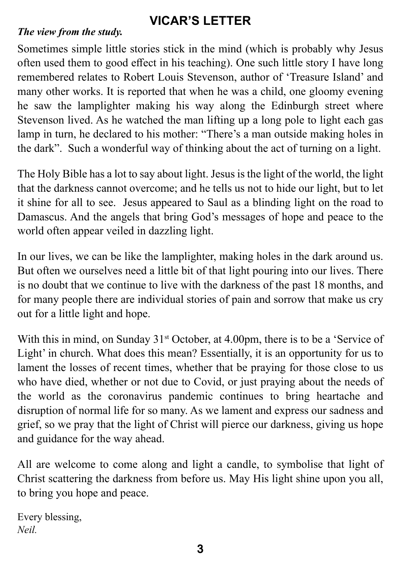### **VICAR'S LETTER**

#### *The view from the study.*

Sometimes simple little stories stick in the mind (which is probably why Jesus often used them to good effect in his teaching). One such little story I have long remembered relates to Robert Louis Stevenson, author of 'Treasure Island' and many other works. It is reported that when he was a child, one gloomy evening he saw the lamplighter making his way along the Edinburgh street where Stevenson lived. As he watched the man lifting up a long pole to light each gas lamp in turn, he declared to his mother: "There's a man outside making holes in the dark". Such a wonderful way of thinking about the act of turning on a light.

The Holy Bible has a lot to say about light. Jesus is the light of the world, the light that the darkness cannot overcome; and he tells us not to hide our light, but to let it shine for all to see. Jesus appeared to Saul as a blinding light on the road to Damascus. And the angels that bring God's messages of hope and peace to the world often appear veiled in dazzling light.

In our lives, we can be like the lamplighter, making holes in the dark around us. But often we ourselves need a little bit of that light pouring into our lives. There is no doubt that we continue to live with the darkness of the past 18 months, and for many people there are individual stories of pain and sorrow that make us cry out for a little light and hope.

With this in mind, on Sunday  $31<sup>st</sup>$  October, at 4.00pm, there is to be a 'Service of Light' in church. What does this mean? Essentially, it is an opportunity for us to lament the losses of recent times, whether that be praying for those close to us who have died, whether or not due to Covid, or just praying about the needs of the world as the coronavirus pandemic continues to bring heartache and disruption of normal life for so many. As we lament and express our sadness and grief, so we pray that the light of Christ will pierce our darkness, giving us hope and guidance for the way ahead.

All are welcome to come along and light a candle, to symbolise that light of Christ scattering the darkness from before us. May His light shine upon you all, to bring you hope and peace.

Every blessing, *Neil.*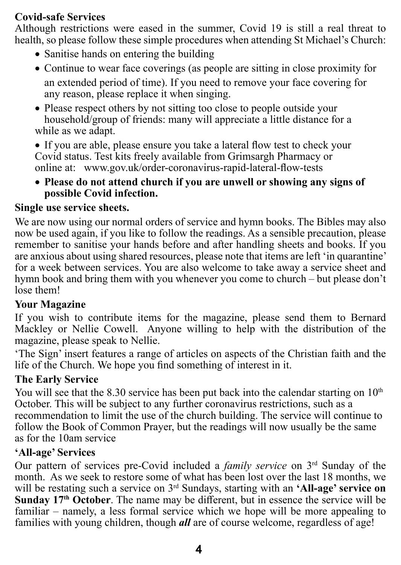#### **Covid-safe Services**

Although restrictions were eased in the summer, Covid 19 is still a real threat to health, so please follow these simple procedures when attending St Michael's Church:

- Sanitise hands on entering the building
- � Continue to wear face coverings (as people are sitting in close proximity for an extended period of time). If you need to remove your face covering for any reason, please replace it when singing.
- Please respect others by not sitting too close to people outside your household/group of friends: many will appreciate a little distance for a while as we adapt.
- � If you are able, please ensure you take a lateral flow test to check your Covid status. Test kits freely available from Grimsargh Pharmacy or online at: www.gov.uk/order-coronavirus-rapid-lateral-flow-tests
- � **Please do not attend church if you are unwell or showing any signs of possible Covid infection.**

#### **Single use service sheets.**

We are now using our normal orders of service and hymn books. The Bibles may also now be used again, if you like to follow the readings. As a sensible precaution, please remember to sanitise your hands before and after handling sheets and books. If you are anxious about using shared resources, please note that items are left 'in quarantine' for a week between services. You are also welcome to take away a service sheet and hymn book and bring them with you whenever you come to church – but please don't lose them!

#### **Your Magazine**

If you wish to contribute items for the magazine, please send them to Bernard Mackley or Nellie Cowell. Anyone willing to help with the distribution of the magazine, please speak to Nellie.

'The Sign' insert features a range of articles on aspects of the Christian faith and the life of the Church. We hope you find something of interest in it.

#### **The Early Service**

You will see that the 8.30 service has been put back into the calendar starting on  $10<sup>th</sup>$ October. This will be subject to any further coronavirus restrictions, such as a recommendation to limit the use of the church building. The service will continue to follow the Book of Common Prayer, but the readings will now usually be the same as for the 10am service

#### **'All-age' Services**

Our pattern of services pre-Covid included a *family service* on 3rd Sunday of the month. As we seek to restore some of what has been lost over the last 18 months, we will be restating such a service on 3rd Sundays, starting with an **'All-age' service on Sunday 17th October**. The name may be different, but in essence the service will be familiar – namely, a less formal service which we hope will be more appealing to families with young children, though *all* are of course welcome, regardless of age!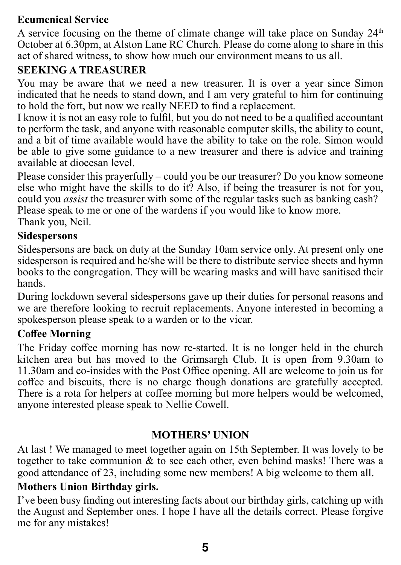#### **Ecumenical Service**

A service focusing on the theme of climate change will take place on Sunday  $24<sup>th</sup>$ October at 6.30pm, at Alston Lane RC Church. Please do come along to share in this act of shared witness, to show how much our environment means to us all.

#### **SEEKING A TREASURER**

You may be aware that we need a new treasurer. It is over a year since Simon indicated that he needs to stand down, and I am very grateful to him for continuing to hold the fort, but now we really NEED to find a replacement.

I know it is not an easy role to fulfil, but you do not need to be a qualified accountant to perform the task, and anyone with reasonable computer skills, the ability to count, and a bit of time available would have the ability to take on the role. Simon would be able to give some guidance to a new treasurer and there is advice and training available at diocesan level.

Please consider this prayerfully – could you be our treasurer? Do you know someone else who might have the skills to do it? Also, if being the treasurer is not for you, could you *assist* the treasurer with some of the regular tasks such as banking cash? Please speak to me or one of the wardens if you would like to know more. Thank you, Neil.

#### **Sidespersons**

Sidespersons are back on duty at the Sunday 10am service only. At present only one sidesperson is required and he/she will be there to distribute service sheets and hymn books to the congregation. They will be wearing masks and will have sanitised their hands.

During lockdown several sidespersons gave up their duties for personal reasons and we are therefore looking to recruit replacements. Anyone interested in becoming a spokesperson please speak to a warden or to the vicar.

#### **Coffee Morning**

The Friday coffee morning has now re-started. It is no longer held in the church kitchen area but has moved to the Grimsargh Club. It is open from 9.30am to 11.30am and co-insides with the Post Office opening. All are welcome to join us for coffee and biscuits, there is no charge though donations are gratefully accepted. There is a rota for helpers at coffee morning but more helpers would be welcomed, anyone interested please speak to Nellie Cowell.

#### **MOTHERS' UNION**

At last ! We managed to meet together again on 15th September. It was lovely to be together to take communion  $\&$  to see each other, even behind masks! There was a good attendance of 23, including some new members! A big welcome to them all.

#### **Mothers Union Birthday girls.**

I've been busy finding out interesting facts about our birthday girls, catching up with the August and September ones. I hope I have all the details correct. Please forgive me for any mistakes!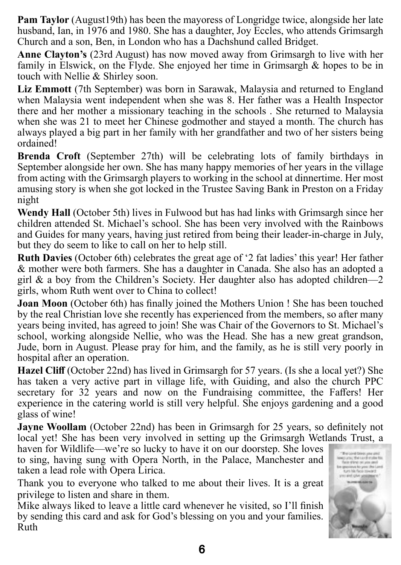**Pam Taylor** (August19th) has been the mayoress of Longridge twice, alongside her late husband, Ian, in 1976 and 1980. She has a daughter, Joy Eccles, who attends Grimsargh Church and a son, Ben, in London who has a Dachshund called Bridget.

**Anne Clayton's** (23rd August) has now moved away from Grimsargh to live with her family in Elswick, on the Flyde. She enjoyed her time in Grimsargh & hopes to be in touch with Nellie & Shirley soon.

**Liz Emmott** (7th September) was born in Sarawak, Malaysia and returned to England when Malaysia went independent when she was 8. Her father was a Health Inspector there and her mother a missionary teaching in the schools . She returned to Malaysia when she was 21 to meet her Chinese godmother and stayed a month. The church has always played a big part in her family with her grandfather and two of her sisters being ordained!

**Brenda Croft** (September 27th) will be celebrating lots of family birthdays in September alongside her own. She has many happy memories of her years in the village from acting with the Grimsargh players to working in the school at dinnertime. Her most amusing story is when she got locked in the Trustee Saving Bank in Preston on a Friday night

**Wendy Hall** (October 5th) lives in Fulwood but has had links with Grimsargh since her children attended St. Michael's school. She has been very involved with the Rainbows and Guides for many years, having just retired from being their leader-in-charge in July, but they do seem to like to call on her to help still.

**Ruth Davies** (October 6th) celebrates the great age of '2 fat ladies' this year! Her father & mother were both farmers. She has a daughter in Canada. She also has an adopted a girl & a boy from the Children's Society. Her daughter also has adopted children—2 girls, whom Ruth went over to China to collect!

**Joan Moon** (October 6th) has finally joined the Mothers Union ! She has been touched by the real Christian love she recently has experienced from the members, so after many years being invited, has agreed to join! She was Chair of the Governors to St. Michael's school, working alongside Nellie, who was the Head. She has a new great grandson, Jude, born in August. Please pray for him, and the family, as he is still very poorly in hospital after an operation.

**Hazel Cliff** (October 22nd) has lived in Grimsargh for 57 years. (Is she a local yet?) She has taken a very active part in village life, with Guiding, and also the church PPC secretary for 32 years and now on the Fundraising committee, the Faffers! Her experience in the catering world is still very helpful. She enjoys gardening and a good glass of wine!

**Jayne Woollam** (October 22nd) has been in Grimsargh for 25 years, so definitely not local yet! She has been very involved in setting up the Grimsargh Wetlands Trust, a

haven for Wildlife—we're so lucky to have it on our doorstep. She loves to sing, having sung with Opera North, in the Palace, Manchester and taken a lead role with Opera Lirica.

Thank you to everyone who talked to me about their lives. It is a great privilege to listen and share in them.

Mike always liked to leave a little card whenever he visited, so I'll finish by sending this card and ask for God's blessing on you and your families. Ruth

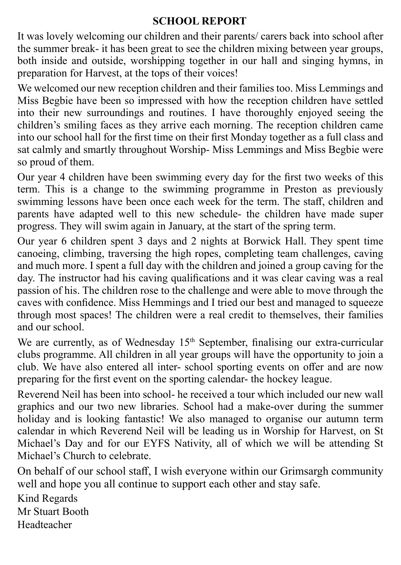#### **SCHOOL REPORT**

It was lovely welcoming our children and their parents/ carers back into school after the summer break- it has been great to see the children mixing between year groups, both inside and outside, worshipping together in our hall and singing hymns, in preparation for Harvest, at the tops of their voices!

We welcomed our new reception children and their families too. Miss Lemmings and Miss Begbie have been so impressed with how the reception children have settled into their new surroundings and routines. I have thoroughly enjoyed seeing the children's smiling faces as they arrive each morning. The reception children came into our school hall for the first time on their first Monday together as a full class and sat calmly and smartly throughout Worship- Miss Lemmings and Miss Begbie were so proud of them.

Our year 4 children have been swimming every day for the first two weeks of this term. This is a change to the swimming programme in Preston as previously swimming lessons have been once each week for the term. The staff, children and parents have adapted well to this new schedule- the children have made super progress. They will swim again in January, at the start of the spring term.

Our year 6 children spent 3 days and 2 nights at Borwick Hall. They spent time canoeing, climbing, traversing the high ropes, completing team challenges, caving and much more. I spent a full day with the children and joined a group caving for the day. The instructor had his caving qualifications and it was clear caving was a real passion of his. The children rose to the challenge and were able to move through the caves with confidence. Miss Hemmings and I tried our best and managed to squeeze through most spaces! The children were a real credit to themselves, their families and our school.

We are currently, as of Wednesday 15<sup>th</sup> September, finalising our extra-curricular clubs programme. All children in all year groups will have the opportunity to join a club. We have also entered all inter- school sporting events on offer and are now preparing for the first event on the sporting calendar- the hockey league.

Reverend Neil has been into school- he received a tour which included our new wall graphics and our two new libraries. School had a make-over during the summer holiday and is looking fantastic! We also managed to organise our autumn term calendar in which Reverend Neil will be leading us in Worship for Harvest, on St Michael's Day and for our EYFS Nativity, all of which we will be attending St Michael's Church to celebrate.

On behalf of our school staff, I wish everyone within our Grimsargh community well and hope you all continue to support each other and stay safe.

Kind Regards Mr Stuart Booth Headteacher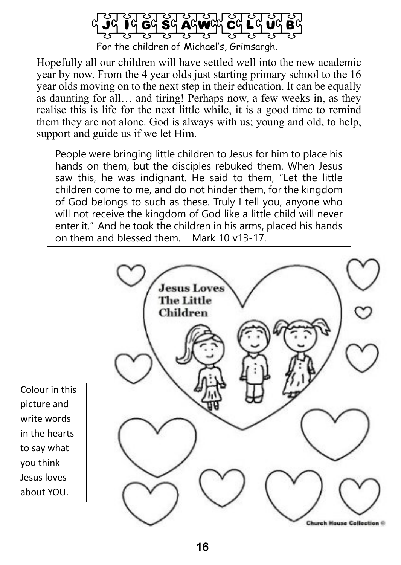

Hopefully all our children will have settled well into the new academic year by now. From the 4 year olds just starting primary school to the 16 year olds moving on to the next step in their education. It can be equally as daunting for all… and tiring! Perhaps now, a few weeks in, as they realise this is life for the next little while, it is a good time to remind them they are not alone. God is always with us; young and old, to help, support and guide us if we let Him.

People were bringing little children to Jesus for him to place his hands on them, but the disciples rebuked them. When Jesus saw this, he was indignant. He said to them, "Let the little children come to me, and do not hinder them, for the kingdom of God belongs to such as these. Truly I tell you, anyone who will not receive the kingdom of God like a little child will never enter it." And he took the children in his arms, placed his hands<br>on them and blessed them Mark 10  $v$ 13-17 on them and blessed them.



Colour in this picture and write words in the hearts to say what you think Jesus loves about YOU.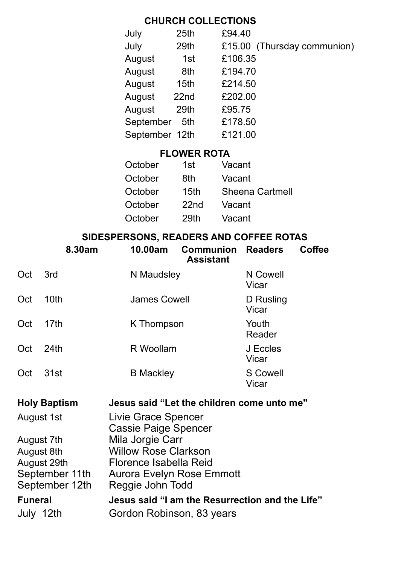#### **CHURCH COLLECTIONS**

| July           | 25th             | £94.40                      |
|----------------|------------------|-----------------------------|
| July           | 29th             | £15.00 (Thursday communion) |
| August         | 1st              | £106.35                     |
| August         | 8th              | £194.70                     |
| August         | 15 <sub>th</sub> | £214.50                     |
| August         | 22nd             | £202.00                     |
| August         | 29th             | £95.75                      |
| September      | 5th              | £178.50                     |
| September 12th |                  | £121.00                     |

#### **FLOWER ROTA**

| 1st              | Vacant          |
|------------------|-----------------|
| 8th              | Vacant          |
| 15th             | Sheena Cartmell |
| 22 <sub>nd</sub> | Vacant          |
| 29th             | Vacant          |
|                  |                 |

#### **SIDESPERSONS, READERS AND COFFEE ROTAS**

|                                  | 8.30am      | 10.00am                                         | <b>Communion</b><br>Assistant | <b>Readers</b>     | Coffee |  |
|----------------------------------|-------------|-------------------------------------------------|-------------------------------|--------------------|--------|--|
| Oct                              | 3rd         | N Maudsley                                      |                               | N Cowell<br>Vicar  |        |  |
| Oct                              | 10th        | <b>James Cowell</b>                             |                               | D Rusling<br>Vicar |        |  |
| Oct                              | 17th        | K Thompson                                      |                               | Youth<br>Reader    |        |  |
| Oct                              | 24th        | R Woollam                                       |                               | J Eccles<br>Vicar  |        |  |
| Oct                              | 31st        | <b>B</b> Mackley                                |                               | S Cowell<br>Vicar  |        |  |
| <b>Holy Baptism</b>              |             | Jesus said "Let the children come unto me"      |                               |                    |        |  |
| August 1st                       |             | Livie Grace Spencer<br>Cassie Paige Spencer     |                               |                    |        |  |
| August 7th                       |             | Mila Jorgie Carr                                |                               |                    |        |  |
| August 8th                       |             | <b>Willow Rose Clarkson</b>                     |                               |                    |        |  |
|                                  | August 29th | Florence Isabella Reid                          |                               |                    |        |  |
| September 11th<br>September 12th |             | Aurora Evelyn Rose Emmott<br>Reggie John Todd   |                               |                    |        |  |
| <b>Funeral</b>                   |             | Jesus said "I am the Resurrection and the Life" |                               |                    |        |  |

July 12th Gordon Robinson, 83 years